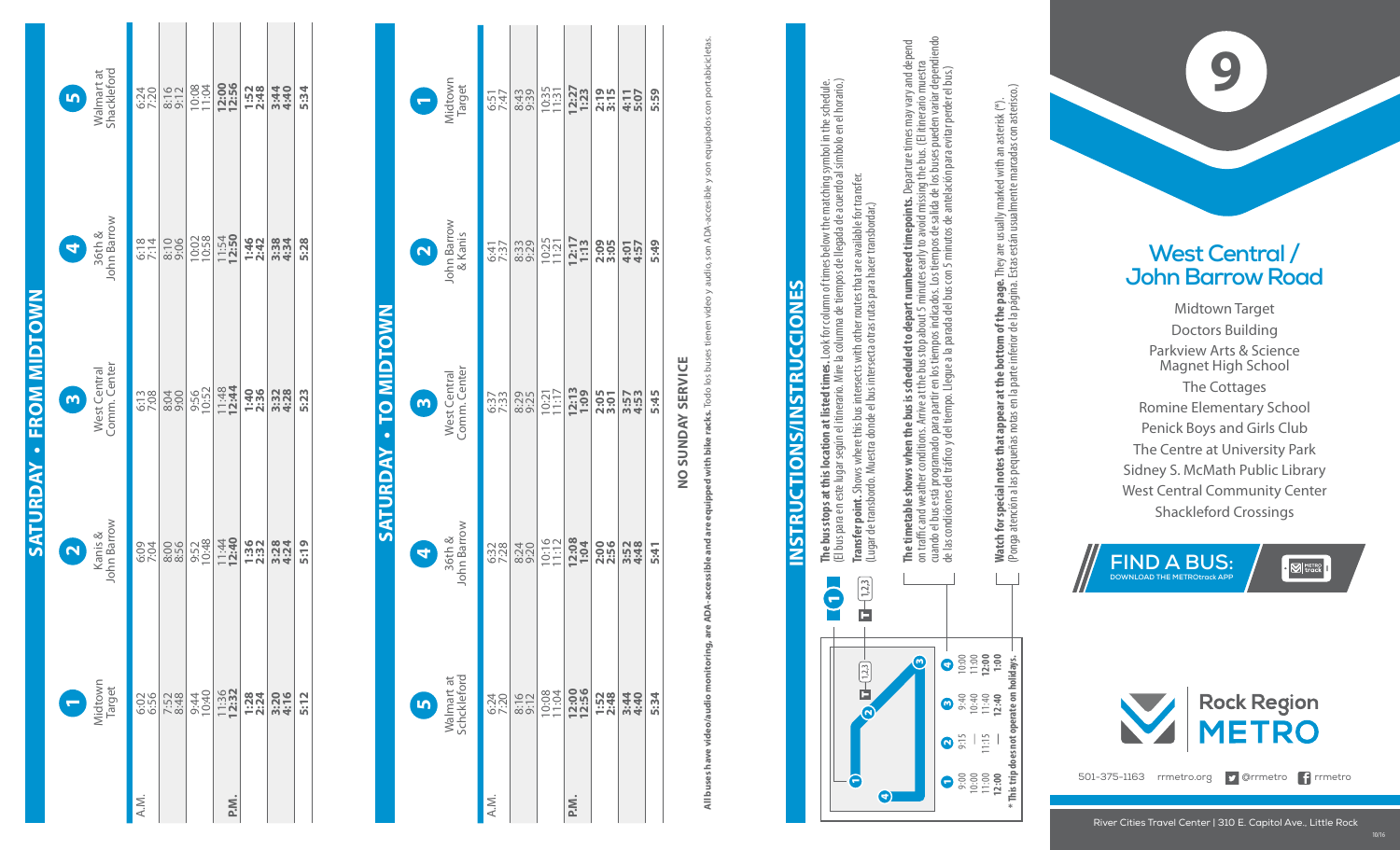| Walmart at<br>Shackleford<br>$\bullet$    | 6:24<br>7:20 | $8:16$<br>$9:12$                                                                                                                                     | 10:08         | 12:00          | $1:52$<br>$2:48$                                                                                                                                                                                                                                                             | 3:44<br>4:40 | 5:34 |
|-------------------------------------------|--------------|------------------------------------------------------------------------------------------------------------------------------------------------------|---------------|----------------|------------------------------------------------------------------------------------------------------------------------------------------------------------------------------------------------------------------------------------------------------------------------------|--------------|------|
| 4<br>36th &<br>John Barrow                | 6:18         | 8:10                                                                                                                                                 | 10:02         | 11:54<br>12:50 | 1:46<br>2:42                                                                                                                                                                                                                                                                 | 3:38<br>4:34 | 5:28 |
| West Central<br>Comm. Center<br>$\bullet$ | 6:13         | 8:04                                                                                                                                                 | 9:56<br>10:52 |                | $\frac{11:48}{12:44}$<br>12:44                                                                                                                                                                                                                                               | 3:32<br>4:28 | 5:23 |
| <b>2</b><br>Kanis &<br>John Barrow        | 6:04         | 8:56                                                                                                                                                 | 9:52<br>10:48 |                | $\begin{array}{c c c c c} \hline 1.49 & 0.01 & 0.02 & 0.01 & 0.01 & 0.01 & 0.01 & 0.01 & 0.01 & 0.01 & 0.01 & 0.01 & 0.01 & 0.01 & 0.01 & 0.01 & 0.01 & 0.01 & 0.01 & 0.01 & 0.01 & 0.01 & 0.01 & 0.01 & 0.01 & 0.01 & 0.01 & 0.01 & 0.01 & 0.01 & 0.01 & 0.01 & 0.01 & 0.0$ |              | 5:19 |
| Midtown<br>Target                         |              | $rac{666}{656}$<br>$rac{676}{123}$<br>$rac{676}{124}$<br>$rac{676}{125}$<br>$rac{676}{125}$<br>$rac{676}{125}$<br>$rac{676}{125}$<br>$rac{676}{125}$ |               |                |                                                                                                                                                                                                                                                                              |              | 5:12 |
|                                           | A.M.         |                                                                                                                                                      |               | P.N.           |                                                                                                                                                                                                                                                                              |              |      |

**Saturday • From midtown**

SATURDAY

**FROM MIDTOWN** 

## . TO MIDTOWN **Saturday • to midtown** SATURDAY

| A.M.    | Walmart at<br>Schckleford<br>8:16<br>6:24<br>7:20<br>$\mathbf{u}$ | 36th &<br>John Barrow<br>0<br>8:24<br>6:32<br>7:28 | West Central<br>Comm. Center<br>$\bullet$<br>8:29<br>6:37<br>7:33 | John Barrow<br>& Kanis<br>Q<br>8:33<br>6:41<br>7:37 | Midtown<br>Target<br>8:43<br>9:39<br>6:51<br>7:47 |
|---------|-------------------------------------------------------------------|----------------------------------------------------|-------------------------------------------------------------------|-----------------------------------------------------|---------------------------------------------------|
| ik<br>A | 12:00                                                             | 1:04                                               | 12:13                                                             | 12:17                                               | 12:27                                             |
|         | 10:08                                                             | 10:16                                              | 10:21<br>11:17                                                    | 10:25                                               | 10:35                                             |
|         | $1:52$<br>$2:48$                                                  | 2:00                                               | 2:05                                                              | 2:09                                                | $2:19$<br>$3:15$                                  |
|         | 3:44                                                              | 3:52<br>4:48                                       | 3:57<br>4:53                                                      | 5:49                                                | 5:59                                              |
|         | 5:34                                                              | 5:41                                               | 5:45                                                              | 4:57                                                | 4:11<br>5:07                                      |

## NO SUNDAY SERVICE **no sunday service**

**All buses have video/audio monitoring, are ADA-accessible and are equipped with bike racks. Todo los buses tienen video y audio, son ADA-accesible y son equipados con portabicicletas.** ados con portabicicletas. equipa son son ADA-accesible y video y audio, equipped with bike racks. Todo los buses are accessible and are ADA-All buses have video/audio monitoring,

## **INSTRUCTIONS/INSTRUCCIONES Instructions/Instrucciones**



11:15

**\* This trip does not operate on holidays.**

\* This trip does not operate on holidays.

**The bus stops at this location at listed times.** Look for column of times below the matching symbol in the schedule. **The bus stops at this location at listed times.** Look for column of times below the matching symbol in the schedule.<br>(El bus para en este lugar según el itinerario. Mire la columna de tiempos de llegada de acuerdo al símb (El bus para en este lugar según el itinerario. Mire la columna de tiempos de llegada de acuerdo al símbolo en el horario.) **Transfer point.** Shows where this bus intersects with other routes that are available for transfer. **Transfer point.** Shows where this bus intersects with other routes that are available for transfer.<br>(Lugar de transbordo. Muestra donde el bus intersecta otras rutas para hacer transbordar.) (Lugar de transbordo. Muestra donde el bus intersecta otras rutas para hacer transbordar.)

**The timetable shows when the bus is scheduled to depart numbered timepoints.** Departure times may vary and depend<br>on traffic and weather conditions. Arrive at the bus stop about 5 minutes early to avoid missing the bus. ( cuando el bus está programado para partir en los tiempos indicados. Los tiempos de salida de los buses pueden variar dependiendo **The timetable shows when the bus is scheduled to depart numbered timepoints.** Departure times may vary and depend on trac and weather conditions. Arrive at the bus stop about 5 minutes early to avoid missing the bus. (El itinerario muestra de las condiciones del tráco y del tiempo. Llegue a la parada del bus con 5 minutos de antelación para evitar perder el bus.)

**Watch for special notes that appear at the bottom of the page.** They are usually marked with an asterisk (\*).<br>(Ponga atención a las pequeñas notas en la parte inferior de la página. Estas están usualmente marcadas con ast (Ponga atención a las pequeñas notas en la parte inferior de la página. Estas están usualmente marcadas con asterisco.) **Watch for special notes that appear at the bottom of the page.** They are usually marked with an asterisk (\*).



## **West Central / John Barrow Road**

Midtown Target Doctors Building Parkview Arts & Science Magnet High School The Cottages Romine Elementary School Penick Boys and Girls Club The Centre at University Park Sidney S. McMath Public Library West Central Community Center **Shackleford Crossings Crossings Crossings Crossing Cross Building**<br>
Midtown Target<br>
Doctors Building<br>
Parkview Arts & Science<br>
Magnet High School<br>
The Cottages<br>
mine Elementary School<br>
Parkey S. McMath Public Lifentral Co





501-375-1163 rrmetro.org **D** @rrmetro **P** rrmetro